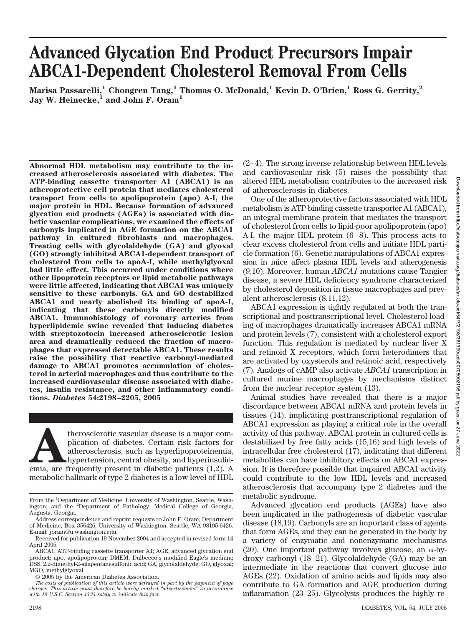# **Advanced Glycation End Product Precursors Impair ABCA1-Dependent Cholesterol Removal From Cells**

**Marisa Passarelli,1 Chongren Tang,1 Thomas O. McDonald,1 Kevin D. O'Brien,1 Ross G. Gerrity,2** Jay W. Heinecke,<sup>1</sup> and John F. Oram<sup>1</sup>

**Abnormal HDL metabolism may contribute to the increased atherosclerosis associated with diabetes. The ATP-binding cassette transporter A1 (ABCA1) is an atheroprotective cell protein that mediates cholesterol transport from cells to apolipoprotein (apo) A-I, the major protein in HDL. Because formation of advanced glycation end products (AGEs) is associated with diabetic vascular complications, we examined the effects of carbonyls implicated in AGE formation on the ABCA1 pathway in cultured fibroblasts and macrophages. Treating cells with glycolaldehyde (GA) and glyoxal (GO) strongly inhibited ABCA1-dependent transport of cholesterol from cells to apoA-I, while methylglyoxal had little effect. This occurred under conditions where other lipoprotein receptors or lipid metabolic pathways were little affected, indicating that ABCA1 was uniquely sensitive to these carbonyls. GA and GO destabilized ABCA1 and nearly abolished its binding of apoA-I, indicating that these carbonyls directly modified ABCA1. Immunohistology of coronary arteries from hyperlipidemic swine revealed that inducing diabetes with streptozotocin increased atherosclerotic lesion area and dramatically reduced the fraction of macrophages that expressed detectable ABCA1. These results raise the possibility that reactive carbonyl-mediated damage to ABCA1 promotes accumulation of cholesterol in arterial macrophages and thus contribute to the increased cardiovascular disease associated with diabetes, insulin resistance, and other inflammatory conditions.** *Diabetes* **54:2198–2205, 2005**

therosclerotic vascular disease is a major complication of diabetes. Certain risk factors for atherosclerosis, such as hyperlipoproteinemia, hypertension, central obesity, and hyperinsulinemia, are frequently present in di plication of diabetes. Certain risk factors for atherosclerosis, such as hyperlipoproteinemia, hypertension, central obesity, and hyperinsulinmetabolic hallmark of type 2 diabetes is a low level of HDL

© 2005 by the American Diabetes Association.

(2–4). The strong inverse relationship between HDL levels and cardiovascular risk (5) raises the possibility that altered HDL metabolism contributes to the increased risk of atherosclerosis in diabetes.

One of the atheroprotective factors associated with HDL metabolism is ATP-binding cassette transporter A1 (ABCA1), an integral membrane protein that mediates the transport of cholesterol from cells to lipid-poor apolipoprotein (apo) A-I, the major HDL protein (6–8). This process acts to clear excess cholesterol from cells and initiate HDL particle formation (6). Genetic manipulations of ABCA1 expression in mice affect plasma HDL levels and atherogenesis (9,10). Moreover, human *ABCA1* mutations cause Tangier disease, a severe HDL deficiency syndrome characterized by cholesterol deposition in tissue macrophages and prevalent atherosclerosis (8,11,12).

ABCA1 expression is tightly regulated at both the transcriptional and posttranscriptional level. Cholesterol loading of macrophages dramatically increases ABCA1 mRNA and protein levels (7), consistent with a cholesterol export function. This regulation is mediated by nuclear liver X and retinoid X receptors, which form heterodimers that are activated by oxysterols and retinoic acid, respectively (7). Analogs of cAMP also activate *ABCA1* transcription in cultured murine macrophages by mechanisms distinct from the nuclear receptor system (13).

Animal studies have revealed that there is a major discordance between ABCA1 mRNA and protein levels in tissues (14), implicating posttranscriptional regulation of ABCA1 expression as playing a critical role in the overall activity of this pathway. ABCA1 protein in cultured cells is destabilized by free fatty acids (15,16) and high levels of intracellular free cholesterol (17), indicating that different metabolites can have inhibitory effects on ABCA1 expression. It is therefore possible that impaired ABCA1 activity could contribute to the low HDL levels and increased atherosclerosis that accompany type 2 diabetes and the metabolic syndrome.

Advanced glycation end products (AGEs) have also been implicated in the pathogenesis of diabetic vascular disease (18,19). Carbonyls are an important class of agents that form AGEs, and they can be generated in the body by a variety of enzymatic and nonenzymatic mechanisms (20). One important pathway involves glucose, an  $\alpha$ -hydroxy carbonyl (18–21). Glycolaldehyde (GA) may be an intermediate in the reactions that convert glucose into AGEs (22). Oxidation of amino acids and lipids may also contribute to GA formation and AGE production during inflammation (23–25). Glycolysis produces the highly re-

From the <sup>1</sup>Department of Medicine, University of Washington, Seattle, Washington; and the <sup>2</sup> Department of Pathology, Medical College of Georgia, Augusta, Georgia.

Address correspondence and reprint requests to John F. Oram, Department of Medicine, Box 356426, University of Washington, Seattle, WA 98195-6426. E-mail: joram@u.washington.edu.

Received for publication 19 November 2004 and accepted in revised form 14 April 2005.

ABCA1, ATP-binding cassette transporter A1; AGE, advanced glycation end product; apo, apolipoprotein; DMEM, Dulbecco's modified Eagle's medium; DSS, 2,2-dimethyl-2-silapentanesulfonic acid; GA, glycolaldehyde; GO, glyoxal; MGO, methylglyoxal.

*The costs of publication of this article were defrayed in part by the payment of page charges. This article must therefore be hereby marked "advertisement" in accordance with 18 U.S.C. Section 1734 solely to indicate this fact.*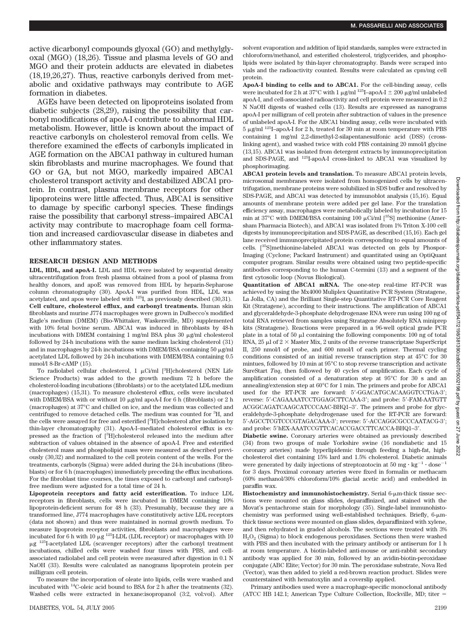active dicarbonyl compounds glyoxal (GO) and methylglyoxal (MGO) (18,26). Tissue and plasma levels of GO and MGO and their protein adducts are elevated in diabetes (18,19,26,27). Thus, reactive carbonyls derived from metabolic and oxidative pathways may contribute to AGE formation in diabetes.

AGEs have been detected on lipoproteins isolated from diabetic subjects (28,29), raising the possibility that carbonyl modifications of apoA-I contribute to abnormal HDL metabolism. However, little is known about the impact of reactive carbonyls on cholesterol removal from cells. We therefore examined the effects of carbonyls implicated in AGE formation on the ABCA1 pathway in cultured human skin fibroblasts and murine macrophages. We found that GO or GA, but not MGO, markedly impaired ABCA1 cholesterol transport activity and destabilized ABCA1 protein. In contrast, plasma membrane receptors for other lipoproteins were little affected. Thus, ABCA1 is sensitive to damage by specific carbonyl species. These findings raise the possibility that carbonyl stress–impaired ABCA1 activity may contribute to macrophage foam cell formation and increased cardiovascular disease in diabetes and other inflammatory states.

### **RESEARCH DESIGN AND METHODS**

**LDL, HDL, and apoA-I.** LDL and HDL were isolated by sequential density ultracentrifugation from fresh plasma obtained from a pool of plasma from healthy donors, and apoE was removed from HDL by heparin-Sepharose column chromatography (30). ApoA-I was purified from HDL, LDL was acetylated, and apos were labeled with 125I, as previously described (30,31). **Cell culture, cholesterol efflux, and carbonyl treatments.** Human skin fibroblasts and murine J774 macrophages were grown in Dulbecco's modified Eagle's medium (DMEM) (Bio-Whittaker, Waskersville, MD) supplemented with 10% fetal bovine serum. ABCA1 was induced in fibroblasts by 48-h incubations with DMEM containing 1 mg/ml BSA plus 30 µg/ml cholesterol followed by 24-h incubations with the same medium lacking cholesterol (31) and in macrophages by 24-h incubations with DMEM/BSA containing  $50 \mu$ g/ml acetylated LDL followed by 24-h incubations with DMEM/BSA containing 0.5 mmol/l 8-Br-cAMP (15).

To radiolabel cellular cholesterol, 1 µCi/ml [<sup>3</sup>H]cholesterol (NEN Life Science Products) was added to the growth medium 72 h before the cholesterol-loading incubations (fibroblasts) or to the acetylated LDL medium (macrophages) (15,31). To measure cholesterol efflux, cells were incubated with DMEM/BSA with or without  $10 \mu g/ml$  apoA-I for 6 h (fibroblasts) or 2 h (macrophages) at 37°C and chilled on ice, and the medium was collected and centrifuged to remove detached cells. The medium was counted for <sup>3</sup>H, and the cells were assayed for free and esterified [<sup>3</sup>H]cholesterol after isolation by thin-layer chromatography (31). ApoA-I–mediated cholesterol efflux is expressed as the fraction of [<sup>3</sup>H]cholesterol released into the medium after subtraction of values obtained in the absence of apoA-I. Free and esterified cholesterol mass and phospholipid mass were measured as described previously (30,32) and normalized to the cell protein content of the wells. For the treatments, carbonyls (Sigma) were added during the 24-h incubations (fibroblasts) or for 6 h (macrophages) immediately preceding the efflux incubations. For the fibroblast time courses, the times exposed to carbonyl and carbonylfree medium were adjusted for a total time of 24 h.

**Lipoprotein receptors and fatty acid esterification.** To induce LDL receptors in fibroblasts, cells were incubated in DMEM containing 10% lipoprotein-deficient serum for 48 h (33). Presumably, because they are a transformed line, J774 macrophages have constitutively active LDL receptors (data not shown) and thus were maintained in normal growth medium. To measure lipoprotein receptor activities, fibroblasts and macrophages were incubated for 6 h with 10  $\mu$ g <sup>125</sup>I-LDL (LDL receptor) or macrophages with 10 µg<sup>125</sup>I-acetylated LDL (scavenger receptors) after the carbonyl treatment incubations, chilled cells were washed four times with PBS, and cellassociated radiolabel and cell protein were measured after digestion in 0.1 N NaOH (33). Results were calculated as nanograms lipoprotein protein per milligram cell protein.

To measure the incorporation of oleate into lipids, cells were washed and incubated with 14C-oleic acid bound to BSA for 2 h after the treatments (32). Washed cells were extracted in hexane:isopropanol (3:2, vol:vol). After

DIABETES, VOL. 54, JULY 2005 2199

solvent evaporation and addition of lipid standards, samples were extracted in chloroform/methanol, and esterified cholesterol, triglycerides, and phospholipids were isolated by thin-layer chromatography. Bands were scraped into vials and the radioactivity counted. Results were calculated as cpm/mg cell protein.

**ApoA-I binding to cells and to ABCA1.** For the cell-binding assay, cells were incubated for 2 h at 37°C with 1  $\mu$ g/ml <sup>125</sup>I–apoA-I  $\pm$  200  $\mu$ g/ml unlabeled apoA-I, and cell-associated radioactivity and cell protein were measured in 0.2 N NaOH digests of washed cells (13). Results are expressed as nanograms apoA-I per milligram of cell protein after subtraction of values in the presence of unlabeled apoA-I. For the ABCA1 binding assay, cells were incubated with  $5 \mu$ g/ml <sup>125</sup>I-apoA-I for 2 h, treated for 30 min at room temperature with PBS containing 1 mg/ml 2,2-dimethyl-2-silapentanesulfonic acid (DSS) (crosslinking agent), and washed twice with cold PBS containing 20 mmol/l glycine (13,15). ABCA1 was isolated from detergent extracts by immunoprecipitation and SDS-PAGE, and 125I-apoA-I cross-linked to ABCA1 was visualized by phosphorimaging.

**ABCA1 protein levels and translation.** To measure ABCA1 protein levels, microsomal membranes were isolated from homogenized cells by ultracentrifugation, membrane proteins were solubilized in SDS buffer and resolved by SDS-PAGE, and ABCA1 was detected by immunoblot analysis (15,16). Equal amounts of membrane protein were added per gel lane. For the translation efficiency assay, macrophages were metabolically labeled by incubation for 15 min at  $37^{\circ}$ C with DMEM/BSA containing 100  $\mu$ Ci/ml  $[^{35}S]$  methionine (Amersham Pharmacia Biotech), and ABCA1 was isolated from 1% Triton X-100 cell digests by immunoprecipitation and SDS-PAGE, as described (15,16). Each gel lane received immunoprecipitated protein corresponding to equal amounts of cells. [35S]methionine-labeled ABCA1 was detected on gels by Phospor-Imaging (Cyclone; Packard Instrument) and quantitated using an OptiQuant computer program. Similar results were obtained using two peptide-specific antibodies corresponding to the human C-termini (13) and a segment of the first cytosolic loop (Novus Biological).

**Quantitation of ABCA1 mRNA.** The one-step real-time RT-PCR was achieved by using the Mx4000 Muliplex Quantitative PCR System (Stratagene, La Jolla, CA) and the Brilliant Single-step Quantitative RT-PCR Core Reagent Kit (Stratagene), according to their instructions. The amplification of ABCA1 and glyceraldehyde-3-phosphate dehydrogenase RNA were run using 100 ng of total RNA retrieved from samples using Stratagene Absolutely RNA miniprep kits (Stratagene). Reactions were prepared in a 96-well optical grade PCR plate in a total of  $50 \mu l$  containing the following components:  $100$  ng of total RNA,  $25 \mu$ l of  $2 \times$  Master Mix,  $2$  units of the reverse transcriptase SuperScript II, 250 nmol/l of probe, and 600 nmol/l of each primer. Thermal cycling conditions consisted of an initial reverse transcription step at 45°C for 30 mintues, followed by 10 min at 95°C to stop reverse transcription and activate SureStart *Taq*, then followed by 40 cycles of amplification. Each cycle of amplification consisted of a denaturation step at 95°C for 30 s and an annealing/extension step at 60°C for 1 min. The primers and probe for ABCA1 used for the RT-PCR are forward: 5'-GGACATGCACAAGGTCCTGA-3'; reverse: 5-CAGAAAATCCTGGAGCTTCAAA-3; and probe: 5-FAM-AATGTT ACGGCAGATCAAGCATCCCAAC-BHQ1–3. The primers and probe for glyceraldehyde-3-phosphate dehydrogenase used for the RT-PCR are forward: 5-AGCCTCGTCCCGTAGACAAA-3; reverse: 5-ACCAGGCGCCCAATACG-3; and probe: 5'hEX-AAATCCGTTCACACCGACCTTCACCA-BHQ1-3'.

**Diabetic swine.** Coronary arteries were obtained as previously described (34) from two groups of male Yorkshire swine (16 nondiabetic and 15 coronary arteries) made hyperlipidemic through feeding a high-fat, highcholesterol diet containing 15% lard and 1.5% cholesterol. Diabetic animals were generated by daily injections of streptozotocin at  $50~\mathrm{mg}\cdot\mathrm{kg}^{-1}\cdot\mathrm{dose}^{-1}$ for 3 days. Proximal coronary arteries were fixed in formalin or methacarn (60% methanol/30% chloroform/10% glacial acetic acid) and embedded in paraffin wax.

Histochemistry and immunohistochemistry. Serial 6-um-thick tissue sections were mounted on glass slides, deparaffinized, and stained with the Movat's pentachrome stain for morphology (35). Single-label immunohistochemistry was performed using well-established techniques. Briefly, 6-µmthick tissue sections were mounted on glass slides, deparaffinized with xylene, and then rehydrated in graded alcohols. The sections were treated with 3%  $H<sub>2</sub>O<sub>2</sub>$  (Sigma) to block endogenous peroxidases. Sections then were washed with PBS and then incubated with the primary antibody or antiserum for 1 h at room temperature. A biotin-labeled anti-mouse or anti-rabbit secondary antibody was applied for 30 min, followed by an avidin-biotin-peroxidase conjugate (ABC Elite; Vector) for 30 min. The peroxidase substrate, Nova Red (Vector), was then added to yield a red-brown reaction product. Slides were counterstained with hematoxylin and a coverslip applied.

Primary antibodies used were a macrophage-specific monoclonal antibody (ATCC HB 142.1; American Type Culture Collection, Rockville, MD; titer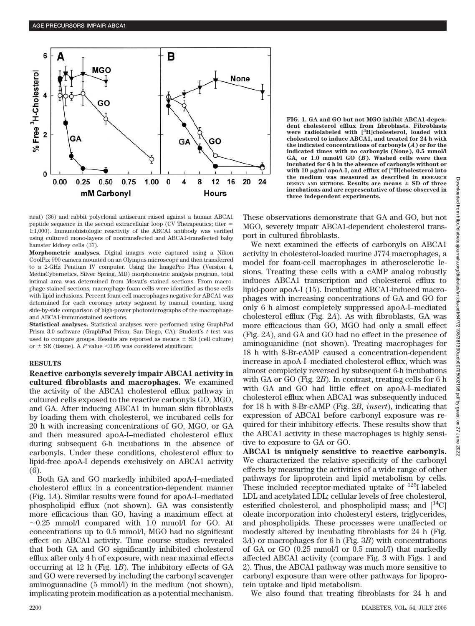

neat) (36) and rabbit polyclonal antiserum raised against a human ABCA1 peptide sequence in the second extracellular loop (CV Therapeutics; titer 1:1,000). Immunohistologic reactivity of the ABCA1 antibody was verified using cultured mono-layers of nontransfected and ABCA1-transfected baby hamster kidney cells (37).

**Morphometric analyses.** Digital images were captured using a Nikon CoolPix 990 camera mounted on an Olympus microscope and then transferred to a 2-GHz Pentium IV computer. Using the ImagePro Plus (Version 4, MediaCybernetics, Silver Spring, MD) morphometric analysis program, total intimal area was determined from Movat's–stained sections. From macrophage-stained sections, macrophage foam cells were identified as those cells with lipid inclusions. Percent foam-cell macrophages negative for ABCA1 was determined for each coronary artery segment by manual counting, using side-by-side comparison of high-power photomicrographs of the macrophageand ABCA1-immunostained sections.

**Statistical analyses.** Statistical analyses were performed using GraphPad Prism 3.0 software (GraphPad Prism, San Diego, CA). Student's *t* test was used to compare groups. Results are reported as means  $\pm$  SD (cell culture) or  $\pm$  SE (tissue). A *P* value <0.05 was considered significant.

### **RESULTS**

**Reactive carbonyls severely impair ABCA1 activity in cultured fibroblasts and macrophages.** We examined the activity of the ABCA1 cholesterol efflux pathway in cultured cells exposed to the reactive carbonyls GO, MGO, and GA. After inducing ABCA1 in human skin fibroblasts by loading them with cholesterol, we incubated cells for 20 h with increasing concentrations of GO, MGO, or GA and then measured apoA-I–mediated cholesterol efflux during subsequent 6-h incubations in the absence of carbonyls. Under these conditions, cholesterol efflux to lipid-free apoA-I depends exclusively on ABCA1 activity (6).

Both GA and GO markedly inhibited apoA-I–mediated cholesterol efflux in a concentration-dependent manner (Fig. 1*A*). Similar results were found for apoA-I–mediated phospholipid efflux (not shown). GA was consistently more efficacious than GO, having a maximum effect at  $\sim$ 0.25 mmol/l compared with 1.0 mmol/l for GO. At concentrations up to 0.5 mmol/l, MGO had no significant effect on ABCA1 activity. Time course studies revealed that both GA and GO significantly inhibited cholesterol efflux after only 4 h of exposure, with near maximal effects occurring at 12 h (Fig. 1*B*). The inhibitory effects of GA and GO were reversed by including the carbonyl scavenger aminoguanadine (5 mmol/l) in the medium (not shown), implicating protein modification as a potential mechanism.

**FIG. 1. GA and GO but not MGO inhibit ABCA1-dependent cholesterol efflux from fibroblasts. Fibroblasts were radiolabeled with [3 H]cholesterol, loaded with cholesterol to induce ABCA1, and treated for 24 h with the indicated concentrations of carbonyls (***A***) or for the indicated times with no carbonyls (None), 0.5 mmol/l GA, or 1.0 mmol/l GO (***B***). Washed cells were then incubated for 6 h in the absence of carbonyls without or with 10 g/ml apoA-I, and efflux of [<sup>3</sup> H]cholesterol into the medium was measured as described in RESEARCH DESIGN AND METHODS. Results are means**  $\pm$  **SD of three incubations and are representative of those observed in three independent experiments.**

These observations demonstrate that GA and GO, but not MGO, severely impair ABCA1-dependent cholesterol transport in cultured fibroblasts.

We next examined the effects of carbonyls on ABCA1 activity in cholesterol-loaded murine J774 macrophages, a model for foam-cell macrophages in atherosclerotic lesions. Treating these cells with a cAMP analog robustly induces ABCA1 transcription and cholesterol efflux to lipid-poor apoA-I (15). Incubating ABCA1-induced macrophages with increasing concentrations of GA and GO for only 6 h almost completely suppressed apoA-I–mediated cholesterol efflux (Fig. 2*A*). As with fibroblasts, GA was more efficacious than GO, MGO had only a small effect (Fig. 2*A*), and GA and GO had no effect in the presence of aminoguanidine (not shown). Treating macrophages for 18 h with 8-Br-cAMP caused a concentration-dependent increase in apoA-I–mediated cholesterol efflux, which was almost completely reversed by subsequent 6-h incubations with GA or GO (Fig. 2*B*). In contrast, treating cells for 6 h with GA and GO had little effect on apoA-I–mediated cholesterol efflux when ABCA1 was subsequently induced for 18 h with 8-Br-cAMP (Fig. 2*B*, *insert*), indicating that expression of ABCA1 before carbonyl exposure was required for their inhibitory effects. These results show that the ABCA1 activity in these macrophages is highly sensitive to exposure to GA or GO.

**ABCA1 is uniquely sensitive to reactive carbonyls.** We characterized the relative specificity of the carbonyl effects by measuring the activities of a wide range of other pathways for lipoprotein and lipid metabolism by cells. These included receptor-mediated uptake of  $^{125}$ I-labeled LDL and acetylated LDL; cellular levels of free cholesterol, esterified cholesterol, and phospholipid mass; and  $[14C]$ oleate incorporation into cholesteryl esters, triglycerides, and phospholipids. These processes were unaffected or modestly altered by incubating fibroblasts for 24 h (Fig. 3*A*) or macrophages for 6 h (Fig. 3*B*) with concentrations of GA or GO (0.25 mmol/l or 0.5 mmol/l) that markedly affected ABCA1 activity (compare Fig. 3 with Figs. 1 and 2). Thus, the ABCA1 pathway was much more sensitive to carbonyl exposure than were other pathways for lipoprotein uptake and lipid metabolism.

We also found that treating fibroblasts for 24 h and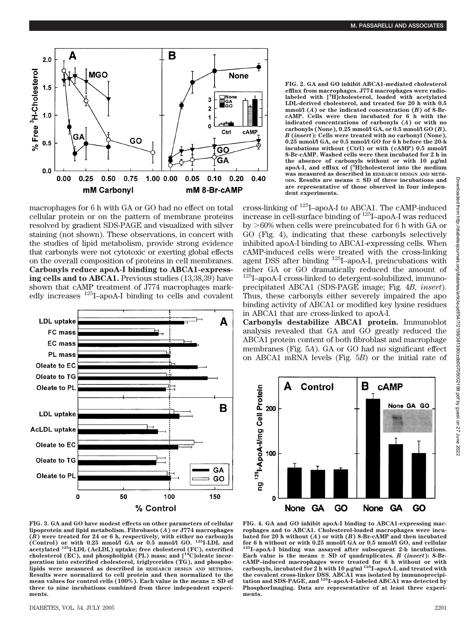

macrophages for 6 h with GA or GO had no effect on total cellular protein or on the pattern of membrane proteins resolved by gradient SDS-PAGE and visualized with silver staining (not shown). These observations, in concert with the studies of lipid metabolism, provide strong evidence that carbonyls were not cytotoxic or exerting global effects on the overall composition of proteins in cell membranes. **Carbonyls reduce apoA-I binding to ABCA1-expressing cells and to ABCA1.** Previous studies (13,38,39) have shown that cAMP treatment of J774 macrophages markedly increases 125I–apoA-I binding to cells and covalent



**FIG. 2. GA and GO inhibit ABCA1-mediated cholesterol efflux from macrophages. J774 macrophages were radiolabeled with [3 H]cholesterol, loaded with acetylated LDL-derived cholesterol, and treated for 20 h with 0.5 mmol/l (***A***) or the indicated concentration (***B***) of 8-BrcAMP. Cells were then incubated for 6 h with the indicated concentrations of carbonyls (***A***) or with no carbonyls (None), 0.25 mmol/l GA, or 0.5 mmol/l GO (***B***).** *B* **(***insert***): Cells were treated with no carbonyl (None), 0.25 mmol/l GA, or 0.5 mmol/l GO for 6 h before the 20-h incubations without (Ctrl) or with (cAMP) 0.5 mmol/l 8-Br-cAMP. Washed cells were then incubated for 2 h in** the absence of carbonyls without or with 10  $\mu$ g/ml **apoA-I, and efflux of [3 H]cholesterol into the medium was measured as described in RESEARCH DESIGN AND METH**ops. Results are means  $\pm$  SD of three incubations and **are representative of those observed in four independent experiments.**

cross-linking of 125I–apoA-I to ABCA1. The cAMP-induced increase in cell-surface binding of 125I–apoA-I was reduced by 60% when cells were preincubated for 6 h with GA or GO (Fig. 4), indicating that these carbonyls selectively inhibited apoA-I binding to ABCA1-expressing cells. When cAMP-induced cells were treated with the cross-linking agent DSS after binding <sup>125</sup>I–apoA-I, preincubations with either GA or GO dramatically reduced the amount of <sup>125</sup>I-apoA-I cross-linked to detergent-solubilized, immunoprecipitated ABCA1 (SDS-PAGE image; Fig. 4*B*, *insert*). Thus, these carbonyls either severely impaired the apo binding activity of ABCA1 or modified key lysine residues in ABCA1 that are cross-linked to apoA-I.

**Carbonyls destabilize ABCA1 protein.** Immunoblot analysis revealed that GA and GO greatly reduced the ABCA1 protein content of both fibroblast and macrophage membranes (Fig. 5*A*). GA or GO had no significant effect on ABCA1 mRNA levels (Fig. 5*B*) or the initial rate of



**lipoprotein and lipid metabolism. Fibrobasts (***A***) or J774 macrophages (***B***) were treated for 24 or 6 h, respectively, with either no carbonyls (Control) or with 0.25 mmol/l GA or 0.5 mmol/l GO. 125I-LDL and acetylated 125I-LDL (AcLDL) uptake; free cholesterol (FC), esterified cholesterol (EC), and phospholipid (PL) mass; and [14C]oleate incorporation into esterified cholesterol, triglycerides (TG), and phospholipids were measured as described in RESEARCH DESIGN AND METHODS. Results were normalized to cell protein and then normalized to the** mean values for control cells (100%). Each value is the means  $\pm$  SD of **three to nine incubations combined from three independent experiments.**

**FIG. 4. GA and GO inhibit apoA-I binding to ABCA1-expressing macrophages and to ABCA1. Cholesterol-loaded macrophages were incubated for 20 h without (***A***) or with (***B***) 8-Br-cAMP and then incubated for 6 h without or with 0.25 mmol/l GA or 0.5 mmol/l GO, and cellular 125I–apoA-I binding was assayed after subsequent 2-h incubations. Each value is the means**  $\pm$  **SD of quadruplicates.** *B* **(***insert***): 8-BrcAMP–induced macrophages were treated for 6 h without or with carbonyls, incubated for 2 h with 10 g/ml 125I–apoA-I, and treated with the covalent cross-linker DSS. ABCA1 was isolated by immunoprecipitation and SDS-PAGE, and 125I–apoA-I–labeled ABCA1 was detected by PhosphorImaging. Data are representative of at least three experiments.**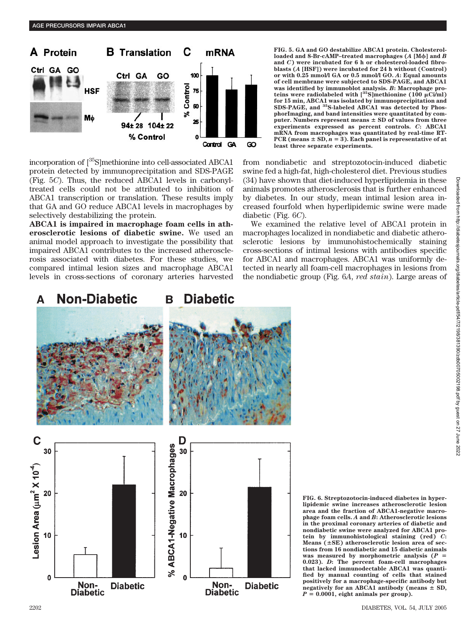

incorporation of [35S]methionine into cell-associated ABCA1 protein detected by immunoprecipitation and SDS-PAGE (Fig. 5*C*). Thus, the reduced ABCA1 levels in carbonyltreated cells could not be attributed to inhibition of ABCA1 transcription or translation. These results imply that GA and GO reduce ABCA1 levels in macrophages by selectively destabilizing the protein.

**ABCA1 is impaired in macrophage foam cells in atherosclerotic lesions of diabetic swine.** We used an animal model approach to investigate the possibility that impaired ABCA1 contributes to the increased atherosclerosis associated with diabetes. For these studies, we compared intimal lesion sizes and macrophage ABCA1 levels in cross-sections of coronary arteries harvested **FIG. 5. GA and GO destabilize ABCA1 protein. Cholesterolloaded and 8-Br-cAMP–treated macrophages (***A* **[M] and** *B* **and** *C***) were incubated for 6 h or cholesterol-loaded fibroblasts (***A* **[HSF]) were incubated for 24 h without (Control) or with 0.25 mmol/l GA or 0.5 mmol/l GO.** *A***: Equal amounts of cell membrane were subjected to SDS-PAGE, and ABCA1 was identified by immunoblot analysis.** *B***: Macrophage pro-teins were radiolabeled with [35S]methionine (100 Ci/ml) for 15 min, ABCA1 was isolated by immunoprecipitation and SDS-PAGE, and 35S-labeled ABCA1 was detected by PhosphorImaging, and band intensities were quantitated by com**puter. Numbers represent means  $\pm$  SD of values from three **experiments expressed as percent controls.** *C***: ABCA1 mRNA from macrophages was quantitated by real-time RT-** $PCR$  (means  $\pm$  SD,  $n = 3$ ). Each panel is representative of at **least three separate experiments.**

from nondiabetic and streptozotocin-induced diabetic swine fed a high-fat, high-cholesterol diet. Previous studies (34) have shown that diet-induced hyperlipidemia in these animals promotes atherosclerosis that is further enhanced by diabetes. In our study, mean intimal lesion area increased fourfold when hyperlipidemic swine were made diabetic (Fig. 6*C*).

We examined the relative level of ABCA1 protein in macrophages localized in nondiabetic and diabetic atherosclerotic lesions by immunohistochemically staining cross-sections of intimal lesions with antibodies specific for ABCA1 and macrophages. ABCA1 was uniformly detected in nearly all foam-cell macrophages in lesions from the nondiabetic group (Fig. 6*A*, *red stain*). Large areas of



**FIG. 6. Streptozotocin-induced diabetes in hyperlipidemic swine increases atherosclerotic lesion area and the fraction of ABCA1-negative macrophage foam cells.** *A* **and** *B***: Atherosclerotic lesions in the proximal coronary arteries of diabetic and nondiabetic swine were analyzed for ABCA1 protein by immunohistological staining (red)** *C***:** Means ( $\pm$ SE) atherosclerotic lesion area of sec**tions from 16 nondiabetic and 15 diabetic animals** was measured by morphometric analysis  $(P =$ **0.023).** *D***: The percent foam-cell macrophages that lacked immunodectable ABCA1 was quantified by manual counting of cells that stained positively for a macrophage-specific antibody but** negatively for an ABCA1 antibody (means  $\pm$  SD,  $P = 0.0001$ , eight animals per group).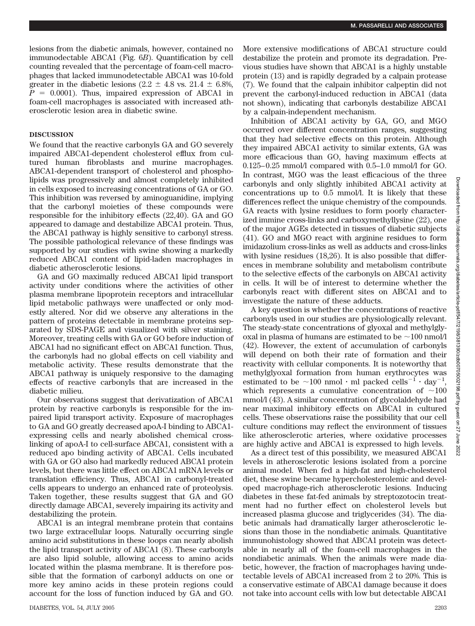lesions from the diabetic animals, however, contained no immunodectable ABCA1 (Fig. 6*B*). Quantification by cell counting revealed that the percentage of foam-cell macrophages that lacked immunodetectable ABCA1 was 10-fold greater in the diabetic lesions (2.2  $\pm$  4.8 vs. 21.4  $\pm$  6.8%,  $P = 0.0001$ . Thus, impaired expression of ABCA1 in foam-cell macrophages is associated with increased atherosclerotic lesion area in diabetic swine.

# **DISCUSSION**

We found that the reactive carbonyls GA and GO severely impaired ABCA1-dependent cholesterol efflux from cultured human fibroblasts and murine macrophages. ABCA1-dependent transport of cholesterol and phospholipids was progressively and almost completely inhibited in cells exposed to increasing concentrations of GA or GO. This inhibition was reversed by aminoguanidine, implying that the carbonyl moieties of these compounds were responsible for the inhibitory effects (22,40). GA and GO appeared to damage and destabilize ABCA1 protein. Thus, the ABCA1 pathway is highly sensitive to carbonyl stress. The possible pathological relevance of these findings was supported by our studies with swine showing a markedly reduced ABCA1 content of lipid-laden macrophages in diabetic atherosclerotic lesions.

GA and GO maximally reduced ABCA1 lipid transport activity under conditions where the activities of other plasma membrane lipoprotein receptors and intracellular lipid metabolic pathways were unaffected or only modestly altered. Nor did we observe any alterations in the pattern of proteins detectable in membrane proteins separated by SDS-PAGE and visualized with silver staining. Moreover, treating cells with GA or GO before induction of ABCA1 had no significant effect on ABCA1 function. Thus, the carbonyls had no global effects on cell viability and metabolic activity. These results demonstrate that the ABCA1 pathway is uniquely responsive to the damaging effects of reactive carbonyls that are increased in the diabetic milieu.

Our observations suggest that derivatization of ABCA1 protein by reactive carbonyls is responsible for the impaired lipid transport activity. Exposure of macrophages to GA and GO greatly decreased apoA-I binding to ABCA1 expressing cells and nearly abolished chemical crosslinking of apoA-I to cell-surface ABCA1, consistent with a reduced apo binding activity of ABCA1. Cells incubated with GA or GO also had markedly reduced ABCA1 protein levels, but there was little effect on ABCA1 mRNA levels or translation efficiency. Thus, ABCA1 in carbonyl-treated cells appears to undergo an enhanced rate of proteolysis. Taken together, these results suggest that GA and GO directly damage ABCA1, severely impairing its activity and destabilizing the protein.

ABCA1 is an integral membrane protein that contains two large extracellular loops. Naturally occurring single amino acid substitutions in these loops can nearly abolish the lipid transport activity of ABCA1 (8). These carbonyls are also lipid soluble, allowing access to amino acids located within the plasma membrane. It is therefore possible that the formation of carbonyl adducts on one or more key amino acids in these protein regions could account for the loss of function induced by GA and GO. More extensive modifications of ABCA1 structure could destabilize the protein and promote its degradation. Previous studies have shown that ABCA1 is a highly unstable protein (13) and is rapidly degraded by a calpain protease (7). We found that the calpain inhibitor calpeptin did not prevent the carbonyl-induced reduction in ABCA1 (data not shown), indicating that carbonyls destabilize ABCA1 by a calpain-independent mechanism.

Inhibition of ABCA1 activity by GA, GO, and MGO occurred over different concentration ranges, suggesting that they had selective effects on this protein. Although they impaired ABCA1 activity to similar extents, GA was more efficacious than GO, having maximum effects at 0.125–0.25 mmol/l compared with 0.5–1.0 mmol/l for GO. In contrast, MGO was the least efficacious of the three carbonyls and only slightly inhibited ABCA1 activity at concentrations up to 0.5 mmol/l. It is likely that these differences reflect the unique chemistry of the compounds. GA reacts with lysine residues to form poorly characterized immine cross-links and carboxymethyllysine (22), one of the major AGEs detected in tissues of diabetic subjects (41). GO and MGO react with arginine residues to form imidazolium cross-links as well as adducts and cross-links with lysine residues (18,26). It is also possible that differences in membrane solubility and metabolism contribute to the selective effects of the carbonyls on ABCA1 activity in cells. It will be of interest to determine whether the carbonyls react with different sites on ABCA1 and to investigate the nature of these adducts.

A key question is whether the concentrations of reactive carbonyls used in our studies are physiologically relevant. The steady-state concentrations of glyoxal and methylglyoxal in plasma of humans are estimated to be  $\sim$ 100 nmol/l (42). However, the extent of accumulation of carbonyls will depend on both their rate of formation and their reactivity with cellular components. It is noteworthy that methylglyoxal formation from human erythrocytes was estimated to be  $\sim 100$  nmol  $\cdot$  ml packed cells<sup>-1</sup>  $\cdot$  day<sup>-1</sup>, which represents a cumulative concentration of  $\sim$ 100 mmol/l (43). A similar concentration of glycolaldehyde had near maximal inhibitory effects on ABCA1 in cultured cells. These observations raise the possibility that our cell culture conditions may reflect the environment of tissues like atherosclerotic arteries, where oxidative processes are highly active and ABCA1 is expressed to high levels.

As a direct test of this possibility, we measured ABCA1 levels in atherosclerotic lesions isolated from a porcine animal model. When fed a high-fat and high-cholesterol diet, these swine became hypercholesterolemic and developed macrophage-rich atherosclerotic lesions. Inducing diabetes in these fat-fed animals by streptozotocin treatment had no further effect on cholesterol levels but increased plasma glucose and triglycerides (34). The diabetic animals had dramatically larger atherosclerotic lesions than those in the nondiabetic animals. Quantitative immunohistology showed that ABCA1 protein was detectable in nearly all of the foam-cell macrophages in the nondiabetic animals. When the animals were made diabetic, however, the fraction of macrophages having undetectable levels of ABCA1 increased from 2 to 20%. This is a conservative estimate of ABCA1 damage because it does not take into account cells with low but detectable ABCA1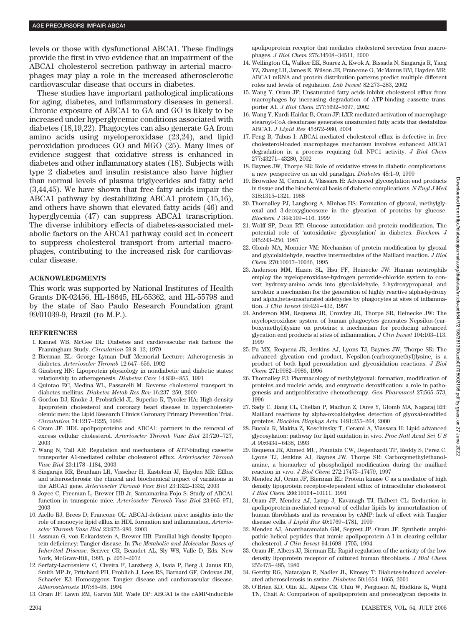levels or those with dysfunctional ABCA1. These findings provide the first in vivo evidence that an impairment of the ABCA1 cholesterol secretion pathway in arterial macrophages may play a role in the increased atherosclerotic cardiovascular disease that occurs in diabetes.

These studies have important pathological implications for aging, diabetes, and inflammatory diseases in general. Chronic exposure of ABCA1 to GA and GO is likely to be increased under hyperglycemic conditions associated with diabetes (18,19,22). Phagocytes can also generate GA from amino acids using myeloperoxidase (23,24), and lipid peroxidation produces GO and MGO (25). Many lines of evidence suggest that oxidative stress is enhanced in diabetes and other inflammatory states (18). Subjects with type 2 diabetes and insulin resistance also have higher than normal levels of plasma triglycerides and fatty acid (3,44,45). We have shown that free fatty acids impair the ABCA1 pathway by destabilizing ABCA1 protein (15,16), and others have shown that elevated fatty acids (46) and hyperglycemia (47) can suppress ABCA1 transcription. The diverse inhibitory effects of diabetes-associated metabolic factors on the ABCA1 pathway could act in concert to suppress cholesterol transport from arterial macrophages, contributing to the increased risk for cardiovascular disease.

# **ACKNOWLEDGMENTS**

This work was supported by National Institutes of Health Grants DK-02456, HL-18645, HL-55362, and HL-55798 and by the state of Sao Paulo Research Foundation grant 99/01039-9, Brazil (to M.P.).

#### **REFERENCES**

- 1. Kannel WB, McGee DL: Diabetes and cardiovascular risk factors: the Framingham Study. *Circulation* 59:8–13, 1979
- 2. Bierman EL: George Lyman Duff Memorial Lecture: Atherogenesis in diabetes. *Arterioscler Thromb* 12:647–656, 1992
- 3. Ginsberg HN: Lipoprotein physiology in nondiabetic and diabetic states: relationship to atherogenesis. *Diabetes Care* 14:839–855, 1991
- 4. Quintao EC, Medina WL, Passarelli M: Reverse cholesterol transport in diabetes mellitus. *Diabetes Metab Res Rev* 16:237–250, 2000
- 5. Gordon DJ, Knoke J, Probstfield JL, Superko R, Tyroler HA: High-density lipoprotein cholesterol and coronary heart disease in hypercholesterolemic men: the Lipid Research Clinics Coronary Primary Prevention Trial. *Circulation* 74:1217–1225, 1986
- 6. Oram JF: HDL apolipoproteins and ABCA1: partners in the removal of excess cellular cholesterol. *Arterioscler Thromb Vasc Biol* 23:720–727, 2003
- 7. Wang N, Tall AR: Regulation and mechanisms of ATP-binding cassette transporter A1-mediated cellular cholesterol efflux. *Arterioscler Thromb Vasc Biol* 23:1178–1184, 2003
- 8. Singaraja RR, Brunham LR, Visscher H, Kastelein JJ, Hayden MR: Efflux and atherosclerosis: the clinical and biochemical impact of variations in the ABCA1 gene. *Arterioscler Thromb Vasc Biol* 23:1322–1332, 2003
- 9. Joyce C, Freeman L, Brewer HB Jr, Santamarina-Fojo S: Study of ABCA1 function in transgenic mice. *Arterioscler Thromb Vasc Biol* 23:965–971, 2003
- 10. Aiello RJ, Brees D, Francone OL: ABCA1-deficient mice: insights into the role of monocyte lipid efflux in HDL formation and inflammation. *Arterioscler Thromb Vasc Biol* 23:972–980, 2003
- 11. Assman G, von Eckardstein A, Brewer HB: Familial high density lipoprotein deficiency: Tangier disease. In *The Metabolic and Molecular Bases of Inherited Disease*. Scriver CR, Beaudet AL, Sly WS, Valle D, Eds. New York, McGraw-Hill, 1995, p. 2053–2072
- 12. Serfaty-Lacrosniere C, Civeira F, Lanzberg A, Isaia P, Berg J, Janus ED, Smith MP Jr, Pritchard PH, Frohlich J, Lees RS, Barnard GF, Ordovas JM, Schaefer EJ: Homozygous Tangier disease and cardiovascular disease. *Atherosclerosis* 107:85–98, 1994
- 13. Oram JF, Lawn RM, Garvin MR, Wade DP: ABCA1 is the cAMP-inducible

apolipoprotein receptor that mediates cholesterol secretion from macrophages. *J Biol Chem* 275:34508–34511, 2000

- 14. Wellington CL, Walker EK, Suarez A, Kwok A, Bissada N, Singaraja R, Yang YZ, Zhang LH, James E, Wilson JE, Francone O, McManus BM, Hayden MR: ABCA1 mRNA and protein distribution patterns predict multiple different roles and levels of regulation. *Lab Invest* 82:273–283, 2002
- 15. Wang Y, Oram JF: Unsaturated fatty acids inhibit cholesterol efflux from macrophages by increasing degradation of ATP-binding cassette transporter A1. *J Biol Chem* 277:5692–5697, 2002
- 16. Wang Y, Kurdi-Haidar B, Oram JF: LXR-mediated activation of macrophage stearoyl-CoA desaturase generates unsaturated fatty acids that destabilize ABCA1. *J Lipid Res* 45:972–980, 2004
- 17. Feng B, Tabas I: ABCA1-mediated cholesterol efflux is defective in free cholesterol-loaded macrophages mechanism involves enhanced ABCA1 degradation in a process requiring full NPC1 activity. *J Biol Chem* 277:43271–43280, 2002
- 18. Baynes JW, Thorpe SR: Role of oxidative stress in diabetic complications: a new perspective on an old paradigm. *Diabetes* 48:1–9, 1999
- 19. Brownlee M, Cerami A, Vlassara H: Advanced glycosylation end products in tissue and the biochemical basis of diabetic complications. *N Engl J Med* 318:1315–1321, 1988
- 20. Thornalley PJ, Langborg A, Minhas HS: Formation of glyoxal, methylglyoxal and 3-deoxyglucosone in the glycation of proteins by glucose. *Biochem J* 344:109–116, 1999
- 21. Wolff SP, Dean RT: Glucose autoxidation and protein modification. The potential role of 'autoxidative glycosylation' in diabetes. *Biochem J* 245:243–250, 1987
- 22. Glomb MA, Monnier VM: Mechanism of protein modification by glyoxal and glycolaldehyde, reactive intermediates of the Maillard reaction. *J Biol Chem* 270:10017–10026, 1995
- 23. Anderson MM, Hazen SL, Hsu FF, Heinecke JW: Human neutrophils employ the myeloperoxidase-hydrogen peroxide-chloride system to convert hydroxy-amino acids into glycolaldehyde, 2-hydroxypropanal, and acrolein: a mechanism for the generation of highly reactive alpha-hydroxy and alpha,beta-unsaturated aldehydes by phagocytes at sites of inflammation. *J Clin Invest* 99:424–432, 1997
- 24. Anderson MM, Requena JR, Crowley JR, Thorpe SR, Heinecke JW: The myeloperoxidase system of human phagocytes generates Nepsilon-(carboxymethyl)lysine on proteins: a mechanism for producing advanced glycation end products at sites of inflammation. *J Clin Invest* 104:103–113, 1999
- 25. Fu MX, Requena JR, Jenkins AJ, Lyons TJ, Baynes JW, Thorpe SR: The advanced glycation end product, Nepsilon-(carboxymethyl)lysine, is a product of both lipid peroxidation and glycoxidation reactions. *J Biol Chem* 271:9982–9986, 1996
- 26. Thornalley PJ: Pharmacology of methylglyoxal: formation, modification of proteins and nucleic acids, and enzymatic detoxification: a role in pathogenesis and antiproliferative chemotherapy. *Gen Pharmacol* 27:565–573, 1996
- 27. Sady C, Jiang CL, Chellan P, Madhun Z, Duve Y, Glomb MA, Nagaraj RH: Maillard reactions by alpha-oxoaldehydes: detection of glyoxal-modified proteins. *Biochim Biophys Acta* 1481:255–264, 2000
- 28. Bucala R, Makita Z, Koschinsky T, Cerami A, Vlassara H: Lipid advanced glycosylation: pathway for lipid oxidation in vivo. *Proc Natl Acad Sci U S A* 90:6434–6438, 1993
- 29. Requena JR, Ahmed MU, Fountain CW, Degenhardt TP, Reddy S, Perez C, Lyons TJ, Jenkins AJ, Baynes JW, Thorpe SR: Carboxymethylethanolamine, a biomarker of phospholipid modification during the maillard reaction in vivo. *J Biol Chem* 272:17473–17479, 1997
- 30. Mendez AJ, Oram JF, Bierman EL: Protein kinase C as a mediator of high density lipoprotein receptor-dependent efflux of intracellular cholesterol. *J Biol Chem* 266:10104–10111, 1991
- 31. Oram JF, Mendez AJ, Lymp J, Kavanagh TJ, Halbert CL: Reduction in apolipoprotein-mediated removal of cellular lipids by immortalization of human fibroblasts and its reversion by cAMP: lack of effect with Tangier disease cells. *J Lipid Res* 40:1769–1781, 1999
- 32. Mendez AJ, Anantharamaiah GM, Segrest JP, Oram JF: Synthetic amphipathic helical peptides that mimic apolipoprotein A-I in clearing cellular cholesterol. *J Clin Invest* 94:1698–1705, 1994
- 33. Oram JF, Albers JJ, Bierman EL: Rapid regulation of the activity of the low density lipoprotein receptor of cultured human fibroblasts. *J Biol Chem* 255:475–485, 1980
- 34. Gerrity RG, Natarajan R, Nadler JL, Kimsey T: Diabetes-induced accelerated atherosclerosis in swine. *Diabetes* 50:1654–1665, 2001
- 35. O'Brien KD, Olin KL, Alpers CE, Chiu W, Ferguson M, Hudkins K, Wight TN, Chait A: Comparison of apolipoprotein and proteoglycan deposits in